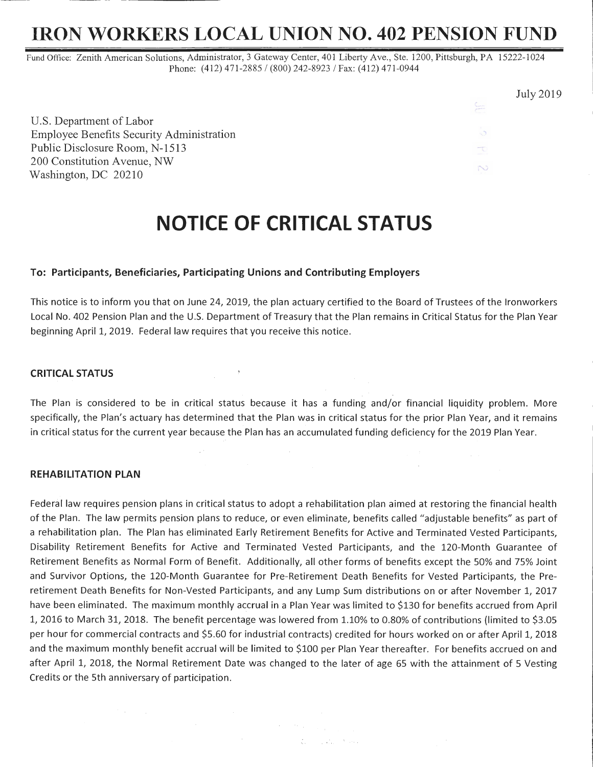## **IRON WORKERS LOCAL UNION NO. 402 PENSION FUND**

July 2019

ು Ŧ N

Fund Office: Zenith American Solutions, Administrator, 3 Gateway Center, 401 Liberty Ave., Ste. 1200, Pittsburgh, PA 15222-1024 Phone: (412) 471-2885 / (800) 242-8923 / Fax: (412) 471-0944

U.S. Department of Labor Employee Benefits Security Administration Public Disclosure Room, N-1513 200 Constitution Avenue, NW Washington, DC 20210

# **NOTICE OF CRITICAL STATUS**

#### **To: Participants, Beneficiaries, Participating Unions and Contributing Employers**

This notice is to inform you that on June 24, 2019, the plan actuary certified to the Board of Trustees of the lronworkers Local No. 402 Pension Plan and the U.S. Department of Treasury that the Plan remains in Critical Status for the Plan Year beginning April 1, 2019. Federal law requires that you receive this notice.

### **CRITICAL STATUS**

The Plan is considered to be in critical status because it has a funding and/or financial liquidity problem. More specifically, the Plan's actuary has determined that the Plan was in critical status for the prior Plan Year, and it remains in critical status for the current year because the Plan has an accumulated funding deficiency for the 2019 Plan Year.

#### **REHABILITATION PLAN**

 $\mathcal{O}(\mathcal{A})$  , and  $\mathcal{O}(\mathcal{A})$ 

Federal law requires pension plans in critical status to adopt a rehabilitation plan aimed at restoring the financial health of the Plan. The law permits pension plans to reduce, or even eliminate, benefits called "adjustable benefits" as part of a rehabilitation plan. The Plan has eliminated Early Retirement Benefits for Active and Terminated Vested Participants, Disability Retirement Benefits for Active and Terminated Vested Participants, and the 120-Month Guarantee of Retirement Benefits as Normal Form of Benefit. Additionally, all other forms of benefits except the 50% and 75% Joint and Survivor Options, the 120-Month Guarantee for Pre-Retirement Death Benefits for Vested Participants, the Preretirement Death Benefits for Non-Vested Participants, and any Lump Sum distributions on or after November 1, 2017 have been eliminated. The maximum monthly accrual in a Plan Year was limited to \$130 for benefits accrued from April 1, 2016 to March 31, 2018. The benefit percentage was lowered from 1.10% to 0.80% of contributions (limited to \$3.05 per hour for commercial contracts and \$5.60 for industrial contracts) credited for hours worked on or after April 1, 2018 and the maximum monthly benefit accrual will be limited to \$100 per Plan Year thereafter. For benefits accrued on and after April 1, 2018, the Normal Retirement Date was changed to the later of age 65 with the attainment of 5 Vesting Credits or the 5th anniversary of participation.

 $\mathcal{F}=\mathcal{F}(\mathcal{F})$  , where  $\mathcal{F}(\mathcal{F})$  and